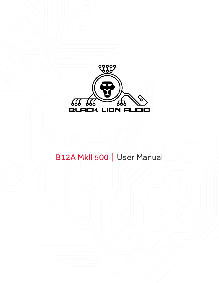

## B12A MkII 500 | User Manual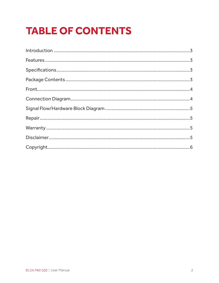# **TABLE OF CONTENTS**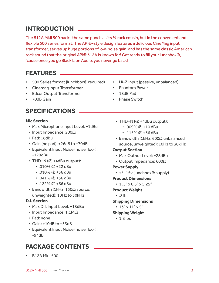### **INTRODUCTION**

The B12A MkII 500 packs the same punch as its ½ rack cousin, but in the convenient and flexible 500 series format. The API®-style design features a delicious CineMag input transformer, serves up huge portions of low-noise gain, and has the same classic American rock sound that the original API® 312A is known for! Get ready to fill your lunchbox®, 'cause once you go Black Lion Audio, you never go back!

### **FEATURES**

- 500 Series format (lunchbox® required)
- Cinemag Input Transformer
- Edcor Output Transformer
- 70dB Gain

### **SPECIFICATIONS**

#### **Mic Section**

- Max Microphone Input Level: +1dBu
- Input Impedance: 200Ω
- Pad: 18dBu
- Gain (no pad): +26dB to +70dB
- Equivalent Input Noise (noise floor): -120dBu
- THD+N (@ +4dBu output):
	- .010% @ +22 dBu
	- .010% @ +36 dBu
	- .041% @ +56 dBu
	- .122% @ +66 dBu
- Bandwidth (1kHz, 150Ω source, unweighted): 10Hz to 30kHz

#### **D.I. Section**

- Max D.I. Input Level: +18dBu
- Input Impedance: 1.1MΩ
- Pad: none
- Gain: +10dB to +53dB
- Equivalent Input Noise (noise floor): -94dB

### **PACKAGE CONTENTS**

• B12A MkII 500

- Hi-Z Input (passive, unbalanced)
- Phantom Power
- 18dB Pad
- **Phase Switch** 
	- THD+N (@ +4dBu output):
		- .009% @ +10 dBu
		- $\cdot$  .115% @ +36 dBu
	- Bandwidth (1kHz, 600Ω unbalanced source, unweighted): 10Hz to 30kHz

#### **Output Section**

- Max Output Level: +28dBu
- Output Impedance: 600Ω

#### **Power Supply**

• +/- 15v (lunchbox® supply)

#### **Product Dimensions**

• 1 .5" x 6.5" x 5.25"

#### **Product Weight**

• .8 lbs

#### **Shipping Dimensions**

•  $13'' \times 11'' \times 5''$ 

#### **Shipping Weight**

• 1.8 lbs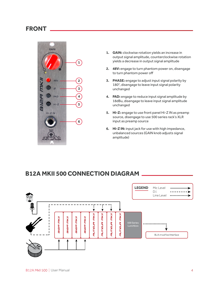### **FRONT**



- **1. GAIN:** clockwise rotation yields an increase in output signal amplitude, counterclockwise rotation yields a decrease in output signal amplitude
- **2. 48V:** engage to turn phantom power on, disengage to turn phantom power off
- **3. PHASE:** engage to adjust input signal polarity by 180°, disengage to leave input signal polarity unchanged
- **4. PAD:** engage to reduce input signal amplitude by 18dBu, disengage to leave input signal amplitude unchanged
- **5. Hi-Z:** engage to use front panel Hi-Z IN as preamp source, disengage to use 500 series rack's XLR input as preamp source
- **6. Hi-Z IN:** input jack for use with high impedance, unbalanced sources (GAIN knob adjusts signal amplitude)

### **B12A MKII 500 CONNECTION DIAGRAM**

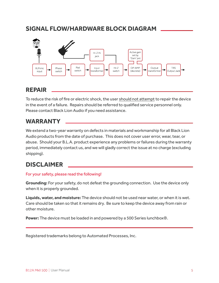### **SIGNAL FLOW/HARDWARE BLOCK DIAGRAM**



### **REPAIR**

To reduce the risk of fire or electric shock, the user should not attempt to repair the device in the event of a failure. Repairs should be referred to qualified service personnel only. Please contact Black Lion Audio if you need assistance.

### **WARRANTY**

We extend a two-year warranty on defects in materials and workmanship for all Black Lion Audio products from the date of purchase. This does not cover user error, wear, tear, or abuse. Should your B.L.A. product experience any problems or failures during the warranty period, immediately contact us, and we will gladly correct the issue at no charge (excluding shipping).

### **DISCLAIMER**

#### For your safety, please read the following!

**Grounding:** For your safety, do not defeat the grounding connection. Use the device only when it is properly grounded.

**Liquids, water, and moisture:** The device should not be used near water, or when it is wet. Care should be taken so that it remains dry. Be sure to keep the device away from rain or other moisture.

**Power:** The device must be loaded in and powered by a 500 Series lunchbox®.

Registered trademarks belong to Automated Processes, Inc.